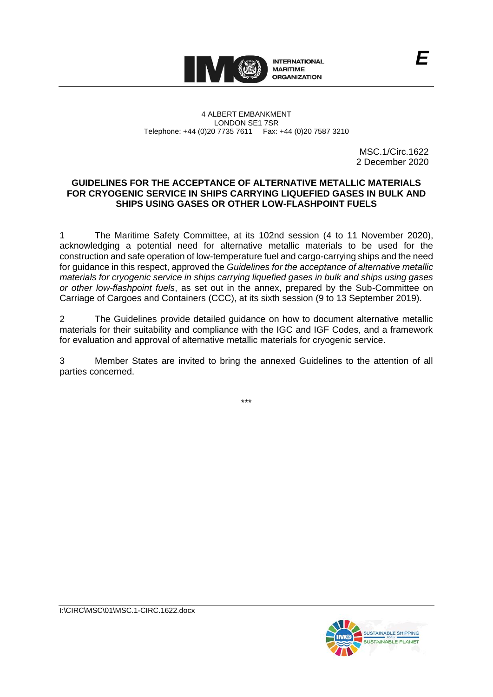

4 ALBERT EMBANKMENT LONDON SE1 7SR Telephone: +44 (0)20 7735 7611 Fax: +44 (0)20 7587 3210

> MSC.1/Circ.1622 2 December 2020

*E*

### **GUIDELINES FOR THE ACCEPTANCE OF ALTERNATIVE METALLIC MATERIALS FOR CRYOGENIC SERVICE IN SHIPS CARRYING LIQUEFIED GASES IN BULK AND SHIPS USING GASES OR OTHER LOW-FLASHPOINT FUELS**

1 The Maritime Safety Committee, at its 102nd session (4 to 11 November 2020), acknowledging a potential need for alternative metallic materials to be used for the construction and safe operation of low-temperature fuel and cargo-carrying ships and the need for guidance in this respect, approved the *Guidelines for the acceptance of alternative metallic materials for cryogenic service in ships carrying liquefied gases in bulk and ships using gases or other low-flashpoint fuels*, as set out in the annex, prepared by the Sub-Committee on Carriage of Cargoes and Containers (CCC), at its sixth session (9 to 13 September 2019).

2 The Guidelines provide detailed guidance on how to document alternative metallic materials for their suitability and compliance with the IGC and IGF Codes, and a framework for evaluation and approval of alternative metallic materials for cryogenic service.

3 Member States are invited to bring the annexed Guidelines to the attention of all parties concerned.

\*\*\*

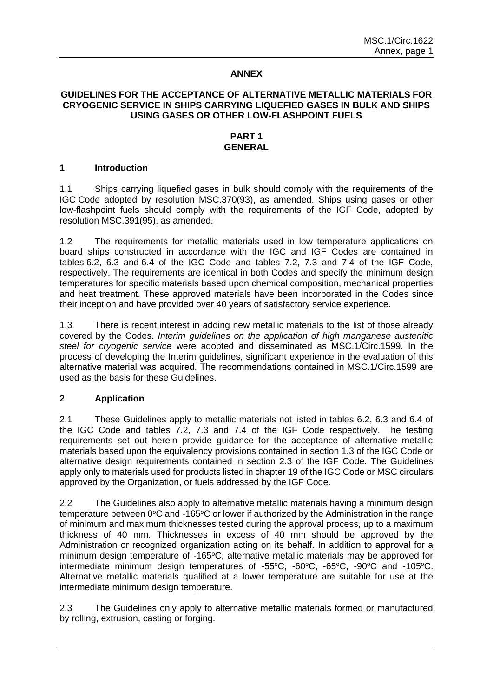### **ANNEX**

### **GUIDELINES FOR THE ACCEPTANCE OF ALTERNATIVE METALLIC MATERIALS FOR CRYOGENIC SERVICE IN SHIPS CARRYING LIQUEFIED GASES IN BULK AND SHIPS USING GASES OR OTHER LOW-FLASHPOINT FUELS**

#### **PART 1 GENERAL**

#### **1 Introduction**

1.1 Ships carrying liquefied gases in bulk should comply with the requirements of the IGC Code adopted by resolution MSC.370(93), as amended. Ships using gases or other low-flashpoint fuels should comply with the requirements of the IGF Code, adopted by resolution MSC.391(95), as amended.

1.2 The requirements for metallic materials used in low temperature applications on board ships constructed in accordance with the IGC and IGF Codes are contained in tables 6.2, 6.3 and 6.4 of the IGC Code and tables 7.2, 7.3 and 7.4 of the IGF Code, respectively. The requirements are identical in both Codes and specify the minimum design temperatures for specific materials based upon chemical composition, mechanical properties and heat treatment. These approved materials have been incorporated in the Codes since their inception and have provided over 40 years of satisfactory service experience.

1.3 There is recent interest in adding new metallic materials to the list of those already covered by the Codes. *Interim guidelines on the application of high manganese austenitic steel for cryogenic service* were adopted and disseminated as MSC.1/Circ.1599. In the process of developing the Interim guidelines, significant experience in the evaluation of this alternative material was acquired. The recommendations contained in MSC.1/Circ.1599 are used as the basis for these Guidelines.

#### **2 Application**

2.1 These Guidelines apply to metallic materials not listed in tables 6.2, 6.3 and 6.4 of the IGC Code and tables 7.2, 7.3 and 7.4 of the IGF Code respectively. The testing requirements set out herein provide guidance for the acceptance of alternative metallic materials based upon the equivalency provisions contained in section 1.3 of the IGC Code or alternative design requirements contained in section 2.3 of the IGF Code. The Guidelines apply only to materials used for products listed in chapter 19 of the IGC Code or MSC circulars approved by the Organization, or fuels addressed by the IGF Code.

2.2 The Guidelines also apply to alternative metallic materials having a minimum design temperature between  $0^{\circ}$ C and -165 $^{\circ}$ C or lower if authorized by the Administration in the range of minimum and maximum thicknesses tested during the approval process, up to a maximum thickness of 40 mm. Thicknesses in excess of 40 mm should be approved by the Administration or recognized organization acting on its behalf. In addition to approval for a minimum design temperature of -165°C, alternative metallic materials may be approved for intermediate minimum design temperatures of -55°C, -60°C, -65°C, -90°C and -105°C. Alternative metallic materials qualified at a lower temperature are suitable for use at the intermediate minimum design temperature.

2.3 The Guidelines only apply to alternative metallic materials formed or manufactured by rolling, extrusion, casting or forging.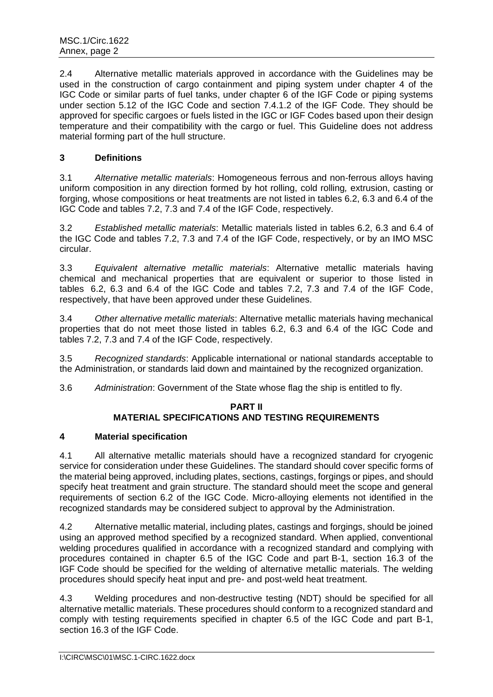2.4 Alternative metallic materials approved in accordance with the Guidelines may be used in the construction of cargo containment and piping system under chapter 4 of the IGC Code or similar parts of fuel tanks, under chapter 6 of the IGF Code or piping systems under section 5.12 of the IGC Code and section 7.4.1.2 of the IGF Code. They should be approved for specific cargoes or fuels listed in the IGC or IGF Codes based upon their design temperature and their compatibility with the cargo or fuel. This Guideline does not address material forming part of the hull structure.

# **3 Definitions**

3.1 *Alternative metallic materials*: Homogeneous ferrous and non-ferrous alloys having uniform composition in any direction formed by hot rolling, cold rolling*,* extrusion, casting or forging, whose compositions or heat treatments are not listed in tables 6.2, 6.3 and 6.4 of the IGC Code and tables 7.2, 7.3 and 7.4 of the IGF Code, respectively.

3.2 *Established metallic materials*: Metallic materials listed in tables 6.2, 6.3 and 6.4 of the IGC Code and tables 7.2, 7.3 and 7.4 of the IGF Code, respectively, or by an IMO MSC circular.

3.3 *Equivalent alternative metallic materials*: Alternative metallic materials having chemical and mechanical properties that are equivalent or superior to those listed in tables 6.2, 6.3 and 6.4 of the IGC Code and tables 7.2, 7.3 and 7.4 of the IGF Code, respectively, that have been approved under these Guidelines.

3.4 *Other alternative metallic materials*: Alternative metallic materials having mechanical properties that do not meet those listed in tables 6.2, 6.3 and 6.4 of the IGC Code and tables 7.2, 7.3 and 7.4 of the IGF Code, respectively.

3.5 *Recognized standards*: Applicable international or national standards acceptable to the Administration, or standards laid down and maintained by the recognized organization.

3.6 *Administration*: Government of the State whose flag the ship is entitled to fly.

# **PART II**

# **MATERIAL SPECIFICATIONS AND TESTING REQUIREMENTS**

# **4 Material specification**

4.1 All alternative metallic materials should have a recognized standard for cryogenic service for consideration under these Guidelines. The standard should cover specific forms of the material being approved, including plates, sections, castings, forgings or pipes, and should specify heat treatment and grain structure. The standard should meet the scope and general requirements of section 6.2 of the IGC Code. Micro-alloying elements not identified in the recognized standards may be considered subject to approval by the Administration.

4.2 Alternative metallic material, including plates, castings and forgings, should be joined using an approved method specified by a recognized standard. When applied, conventional welding procedures qualified in accordance with a recognized standard and complying with procedures contained in chapter 6.5 of the IGC Code and part B-1, section 16.3 of the IGF Code should be specified for the welding of alternative metallic materials. The welding procedures should specify heat input and pre- and post-weld heat treatment.

4.3 Welding procedures and non-destructive testing (NDT) should be specified for all alternative metallic materials. These procedures should conform to a recognized standard and comply with testing requirements specified in chapter 6.5 of the IGC Code and part B-1, section 16.3 of the IGF Code.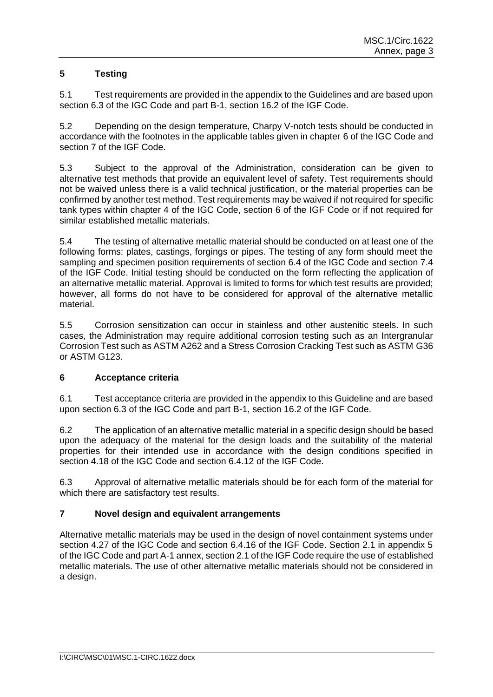# **5 Testing**

5.1 Test requirements are provided in the appendix to the Guidelines and are based upon section 6.3 of the IGC Code and part B-1, section 16.2 of the IGF Code.

5.2 Depending on the design temperature, Charpy V-notch tests should be conducted in accordance with the footnotes in the applicable tables given in chapter 6 of the IGC Code and section 7 of the IGF Code.

5.3 Subject to the approval of the Administration, consideration can be given to alternative test methods that provide an equivalent level of safety. Test requirements should not be waived unless there is a valid technical justification, or the material properties can be confirmed by another test method. Test requirements may be waived if not required for specific tank types within chapter 4 of the IGC Code, section 6 of the IGF Code or if not required for similar established metallic materials.

5.4 The testing of alternative metallic material should be conducted on at least one of the following forms: plates, castings, forgings or pipes. The testing of any form should meet the sampling and specimen position requirements of section 6.4 of the IGC Code and section 7.4 of the IGF Code. Initial testing should be conducted on the form reflecting the application of an alternative metallic material. Approval is limited to forms for which test results are provided; however, all forms do not have to be considered for approval of the alternative metallic material.

5.5 Corrosion sensitization can occur in stainless and other austenitic steels. In such cases, the Administration may require additional corrosion testing such as an Intergranular Corrosion Test such as ASTM A262 and a Stress Corrosion Cracking Test such as ASTM G36 or ASTM G123.

# **6 Acceptance criteria**

6.1 Test acceptance criteria are provided in the appendix to this Guideline and are based upon section 6.3 of the IGC Code and part B-1, section 16.2 of the IGF Code.

6.2 The application of an alternative metallic material in a specific design should be based upon the adequacy of the material for the design loads and the suitability of the material properties for their intended use in accordance with the design conditions specified in section 4.18 of the IGC Code and section 6.4.12 of the IGF Code.

6.3 Approval of alternative metallic materials should be for each form of the material for which there are satisfactory test results.

# **7 Novel design and equivalent arrangements**

Alternative metallic materials may be used in the design of novel containment systems under section 4.27 of the IGC Code and section 6.4.16 of the IGF Code. Section 2.1 in appendix 5 of the IGC Code and part A-1 annex, section 2.1 of the IGF Code require the use of established metallic materials. The use of other alternative metallic materials should not be considered in a design.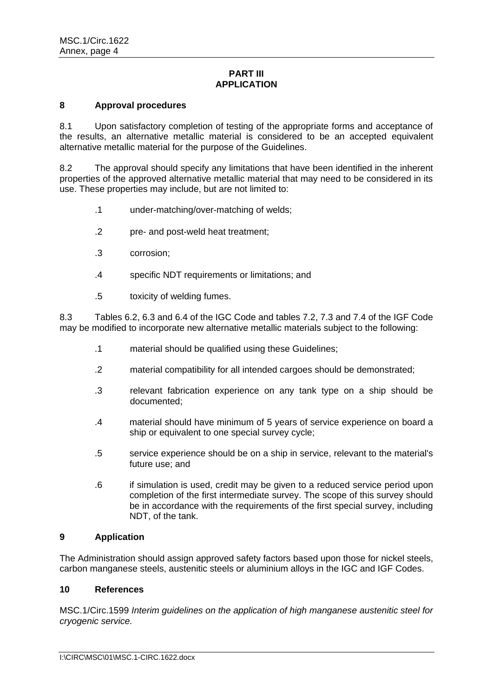### **PART III APPLICATION**

### **8 Approval procedures**

8.1 Upon satisfactory completion of testing of the appropriate forms and acceptance of the results, an alternative metallic material is considered to be an accepted equivalent alternative metallic material for the purpose of the Guidelines.

8.2 The approval should specify any limitations that have been identified in the inherent properties of the approved alternative metallic material that may need to be considered in its use. These properties may include, but are not limited to:

- .1 under-matching/over-matching of welds;
- .2 pre- and post-weld heat treatment;
- .3 corrosion;
- .4 specific NDT requirements or limitations; and
- .5 toxicity of welding fumes.

8.3 Tables 6.2, 6.3 and 6.4 of the IGC Code and tables 7.2, 7.3 and 7.4 of the IGF Code may be modified to incorporate new alternative metallic materials subject to the following:

- .1 material should be qualified using these Guidelines;
- .2 material compatibility for all intended cargoes should be demonstrated;
- .3 relevant fabrication experience on any tank type on a ship should be documented;
- .4 material should have minimum of 5 years of service experience on board a ship or equivalent to one special survey cycle;
- .5 service experience should be on a ship in service, relevant to the material's future use; and
- .6 if simulation is used, credit may be given to a reduced service period upon completion of the first intermediate survey. The scope of this survey should be in accordance with the requirements of the first special survey, including NDT, of the tank.

### **9 Application**

The Administration should assign approved safety factors based upon those for nickel steels, carbon manganese steels, austenitic steels or aluminium alloys in the IGC and IGF Codes.

#### **10 References**

MSC.1/Circ.1599 *Interim guidelines on the application of high manganese austenitic steel for cryogenic service.*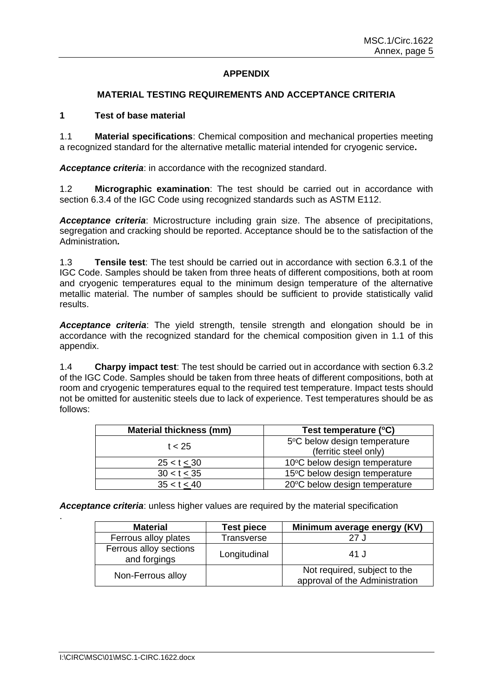# **APPENDIX**

### **MATERIAL TESTING REQUIREMENTS AND ACCEPTANCE CRITERIA**

### **1 Test of base material**

1.1 **Material specifications**: Chemical composition and mechanical properties meeting a recognized standard for the alternative metallic material intended for cryogenic service**.** 

*Acceptance criteria*: in accordance with the recognized standard.

1.2 **Micrographic examination**: The test should be carried out in accordance with section 6.3.4 of the IGC Code using recognized standards such as ASTM E112.

*Acceptance criteria*: Microstructure including grain size. The absence of precipitations, segregation and cracking should be reported. Acceptance should be to the satisfaction of the Administration*.*

1.3 **Tensile test**: The test should be carried out in accordance with section 6.3.1 of the IGC Code. Samples should be taken from three heats of different compositions, both at room and cryogenic temperatures equal to the minimum design temperature of the alternative metallic material. The number of samples should be sufficient to provide statistically valid results.

*Acceptance criteria*: The yield strength, tensile strength and elongation should be in accordance with the recognized standard for the chemical composition given in 1.1 of this appendix.

1.4 **Charpy impact test**: The test should be carried out in accordance with section 6.3.2 of the IGC Code. Samples should be taken from three heats of different compositions, both at room and cryogenic temperatures equal to the required test temperature. Impact tests should not be omitted for austenitic steels due to lack of experience. Test temperatures should be as follows:

| <b>Material thickness (mm)</b> | Test temperature (°C)         |
|--------------------------------|-------------------------------|
| t < 25                         | 5°C below design temperature  |
|                                | (ferritic steel only)         |
| $25 < t \leq 30$               | 10°C below design temperature |
| $30 < t \leq 35$               | 15°C below design temperature |
| 35 < t < 40                    | 20°C below design temperature |

*Acceptance criteria*: unless higher values are required by the material specification

| <b>Material</b>                        | <b>Test piece</b> | Minimum average energy (KV)                                    |
|----------------------------------------|-------------------|----------------------------------------------------------------|
| Ferrous alloy plates                   | Transverse        | 27 J                                                           |
| Ferrous alloy sections<br>and forgings | Longitudinal      | 41 J                                                           |
| Non-Ferrous alloy                      |                   | Not required, subject to the<br>approval of the Administration |

.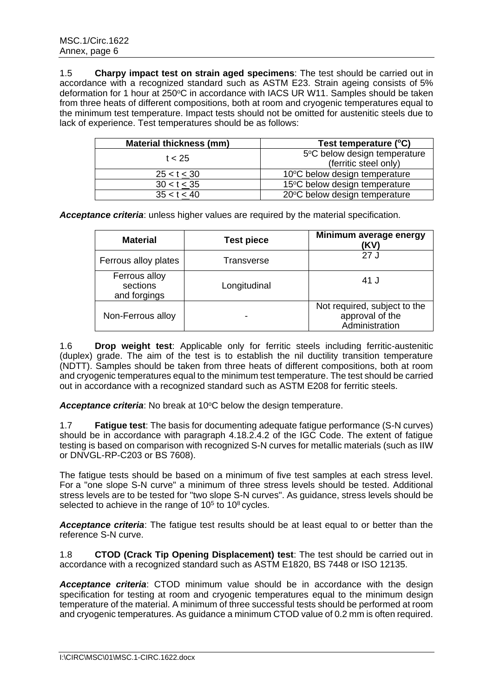1.5 **Charpy impact test on strain aged specimens**: The test should be carried out in accordance with a recognized standard such as ASTM E23. Strain ageing consists of 5% deformation for 1 hour at 250°C in accordance with IACS UR W11. Samples should be taken from three heats of different compositions, both at room and cryogenic temperatures equal to the minimum test temperature. Impact tests should not be omitted for austenitic steels due to lack of experience. Test temperatures should be as follows:

| <b>Material thickness (mm)</b> | Test temperature (°C)         |
|--------------------------------|-------------------------------|
| t < 25                         | 5°C below design temperature  |
|                                | (ferritic steel only)         |
| 25 < t < 30                    | 10°C below design temperature |
| $30 < t \leq 35$               | 15°C below design temperature |
| 35 < t < 40                    | 20°C below design temperature |

*Acceptance criteria*: unless higher values are required by the material specification.

| <b>Material</b>                           | <b>Test piece</b>        | Minimum average energy<br>(KV)                                    |
|-------------------------------------------|--------------------------|-------------------------------------------------------------------|
| Ferrous alloy plates                      | Transverse               | 27 J                                                              |
| Ferrous alloy<br>sections<br>and forgings | Longitudinal             | 41 J                                                              |
| Non-Ferrous alloy                         | $\overline{\phantom{0}}$ | Not required, subject to the<br>approval of the<br>Administration |

1.6 **Drop weight test**: Applicable only for ferritic steels including ferritic-austenitic (duplex) grade. The aim of the test is to establish the nil ductility transition temperature (NDTT). Samples should be taken from three heats of different compositions, both at room and cryogenic temperatures equal to the minimum test temperature. The test should be carried out in accordance with a recognized standard such as ASTM E208 for ferritic steels.

Acceptance criteria: No break at 10<sup>o</sup>C below the design temperature.

1.7 **Fatigue test**: The basis for documenting adequate fatigue performance (S-N curves) should be in accordance with paragraph 4.18.2.4.2 of the IGC Code. The extent of fatigue testing is based on comparison with recognized S-N curves for metallic materials (such as IIW or DNVGL-RP-C203 or BS 7608).

The fatigue tests should be based on a minimum of five test samples at each stress level. For a "one slope S-N curve" a minimum of three stress levels should be tested. Additional stress levels are to be tested for "two slope S-N curves". As guidance, stress levels should be selected to achieve in the range of  $10<sup>5</sup>$  to  $10<sup>8</sup>$  cycles.

*Acceptance criteria*: The fatigue test results should be at least equal to or better than the reference S-N curve.

1.8 **CTOD (Crack Tip Opening Displacement) test**: The test should be carried out in accordance with a recognized standard such as ASTM E1820, BS 7448 or ISO 12135.

*Acceptance criteria*: CTOD minimum value should be in accordance with the design specification for testing at room and cryogenic temperatures equal to the minimum design temperature of the material. A minimum of three successful tests should be performed at room and cryogenic temperatures. As guidance a minimum CTOD value of 0.2 mm is often required.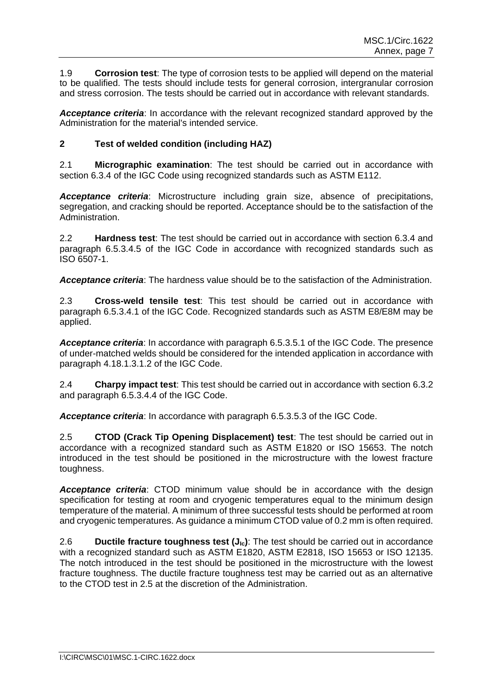1.9 **Corrosion test**: The type of corrosion tests to be applied will depend on the material to be qualified. The tests should include tests for general corrosion, intergranular corrosion and stress corrosion. The tests should be carried out in accordance with relevant standards.

*Acceptance criteria*: In accordance with the relevant recognized standard approved by the Administration for the material's intended service.

### **2 Test of welded condition (including HAZ)**

2.1 **Micrographic examination**: The test should be carried out in accordance with section 6.3.4 of the IGC Code using recognized standards such as ASTM E112.

*Acceptance criteria*: Microstructure including grain size, absence of precipitations, segregation, and cracking should be reported. Acceptance should be to the satisfaction of the Administration.

2.2 **Hardness test**: The test should be carried out in accordance with section 6.3.4 and paragraph 6.5.3.4.5 of the IGC Code in accordance with recognized standards such as ISO 6507-1.

*Acceptance criteria*: The hardness value should be to the satisfaction of the Administration.

2.3 **Cross-weld tensile test**: This test should be carried out in accordance with paragraph 6.5.3.4.1 of the IGC Code. Recognized standards such as ASTM E8/E8M may be applied.

*Acceptance criteria*: In accordance with paragraph 6.5.3.5.1 of the IGC Code. The presence of under-matched welds should be considered for the intended application in accordance with paragraph 4.18.1.3.1.2 of the IGC Code.

2.4 **Charpy impact test**: This test should be carried out in accordance with section 6.3.2 and paragraph 6.5.3.4.4 of the IGC Code.

*Acceptance criteria*: In accordance with paragraph 6.5.3.5.3 of the IGC Code.

2.5 **CTOD (Crack Tip Opening Displacement) test**: The test should be carried out in accordance with a recognized standard such as ASTM E1820 or ISO 15653. The notch introduced in the test should be positioned in the microstructure with the lowest fracture toughness.

*Acceptance criteria*: CTOD minimum value should be in accordance with the design specification for testing at room and cryogenic temperatures equal to the minimum design temperature of the material. A minimum of three successful tests should be performed at room and cryogenic temperatures. As guidance a minimum CTOD value of 0.2 mm is often required.

2.6 **Ductile fracture toughness test (J<sub>Ic</sub>)**: The test should be carried out in accordance with a recognized standard such as ASTM E1820, ASTM E2818, ISO 15653 or ISO 12135. The notch introduced in the test should be positioned in the microstructure with the lowest fracture toughness. The ductile fracture toughness test may be carried out as an alternative to the CTOD test in 2.5 at the discretion of the Administration.